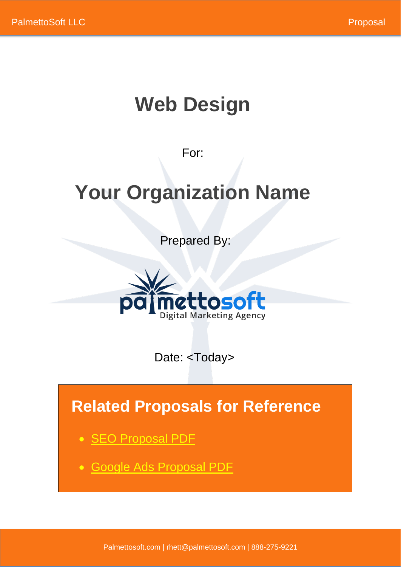# **Web Design**

For:

# **Your Organization Name**

Prepared By:



Date: <Today>

# **Related Proposals for Reference**

- SEO [Proposal PDF](https://www.palmettosoft.com/wp-content/uploads/2021/07/Organic-SEO-Proposal.pdf)
- [Google Ads Proposal PDF](https://www.palmettosoft.com/wp-content/uploads/2021/07/Google-Ads-Proposal.pdf)

Palmettosoft.com | rhett@palmettosoft.com | 888-275-9221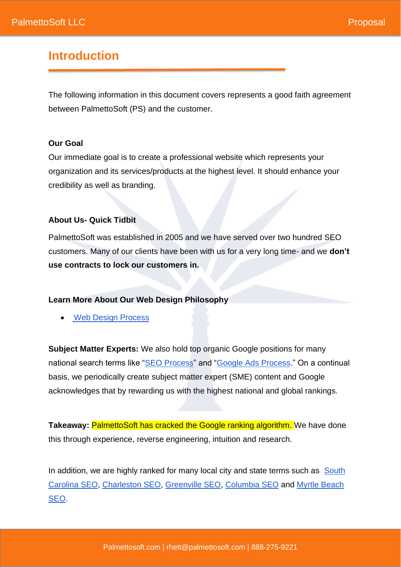#### **Introduction**

The following information in this document covers represents a good faith agreement between PalmettoSoft (PS) and the customer.

#### **Our Goal**

Our immediate goal is to create a professional website which represents your organization and its services/products at the highest level. It should enhance your credibility as well as branding.

#### **About Us- Quick Tidbit**

PalmettoSoft was established in 2005 and we have served over two hundred SEO customers. Many of our clients have been with us for a very long time- and we **don't use contracts to lock our customers in.**

#### **Learn More About Our Web Design Philosophy**

**[Web Design Process](https://www.palmettosoft.com/ten-step-web-design-process/)** 

**Subject Matter Experts:** We also hold top organic Google positions for many national search terms like ["SEO Process"](https://www.google.com/search?q=SEO+Process&oq=SEO+Process&aqs=chrome..69i57j69i61l3.5831j0j1&sourceid=chrome&ie=UTF-8) and ["Google Ads Process.](https://www.google.com/search?q=google+ads+process&oq=google+ads+process&aqs=chrome..69i57j69i64j69i60j69i61.9486j0j1&sourceid=chrome&ie=UTF-8)" On a continual basis, we periodically create subject matter expert (SME) content and Google acknowledges that by rewarding us with the highest national and global rankings.

**Takeaway: PalmettoSoft has cracked the Google ranking algorithm. We have done** this through experience, reverse engineering, intuition and research.

In addition, we are highly ranked for many local city and state terms such as South [Carolina SEO,](https://www.google.com/search?q=south+carolina+seo&rlz=1C1VDKB_enUS960US960&oq=south+carolina+seo&aqs=chrome..69i57j0i22i30l2j69i59.7427j0j9&sourceid=chrome&ie=UTF-8) [Charleston SEO,](https://www.google.com/search?q=charleston+seo&rlz=1C1VDKB_enUS960US960&oq=charleston+seo&aqs=chrome..69i57j0i22i30i457j0i22i30l3j0i10i22i30.8377j0j4&sourceid=chrome&ie=UTF-8) [Greenville SEO,](https://www.google.com/search?q=greenville+seo&rlz=1C1VDKB_enUS960US960&oq=greenville+seo&aqs=chrome.0.69i59.2955j0j9&sourceid=chrome&ie=UTF-8) [Columbia SEO](https://www.google.com/search?q=columbia+seo&rlz=1C1VDKB_enUS960US960&oq=columbia+seo&aqs=chrome.0.69i59j0i22i30l2j0i22i30i457j0i22i30l6.2700j0j9&sourceid=chrome&ie=UTF-8) and [Myrtle Beach](https://www.google.com/search?q=myrtle+beach+seo&rlz=1C1VDKB_enUS960US960&oq=myrtle+beach+seo&aqs=chrome..69i57j69i59.6391j0j9&sourceid=chrome&ie=UTF-8)  [SEO.](https://www.google.com/search?q=myrtle+beach+seo&rlz=1C1VDKB_enUS960US960&oq=myrtle+beach+seo&aqs=chrome..69i57j69i59.6391j0j9&sourceid=chrome&ie=UTF-8)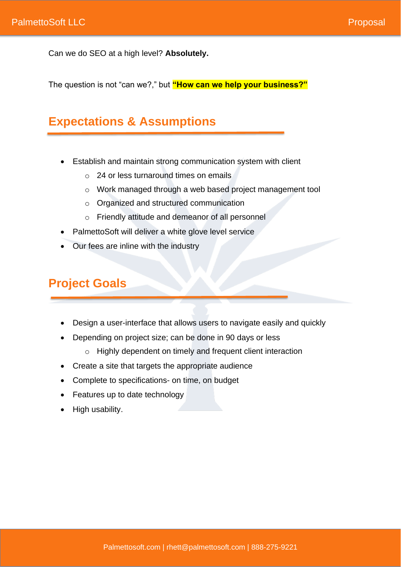Can we do SEO at a high level? **Absolutely.** 

The question is not "can we?," but **"How can we help your business?"**

## **Expectations & Assumptions**

- Establish and maintain strong communication system with client
	- o 24 or less turnaround times on emails
	- o Work managed through a web based project management tool
	- o Organized and structured communication
	- o Friendly attitude and demeanor of all personnel
- PalmettoSoft will deliver a white glove level service
- Our fees are inline with the industry

## **Project Goals**

- Design a user-interface that allows users to navigate easily and quickly
- Depending on project size; can be done in 90 days or less
	- o Highly dependent on timely and frequent client interaction
- Create a site that targets the appropriate audience
- Complete to specifications- on time, on budget
- Features up to date technology
- High usability.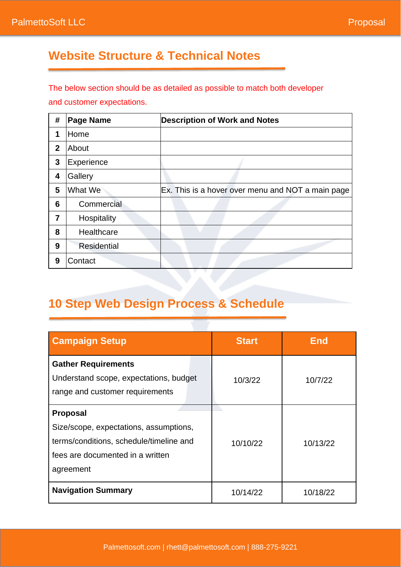## **Website Structure & Technical Notes**

The below section should be as detailed as possible to match both developer and customer expectations.

| #            | <b>Page Name</b>   | <b>Description of Work and Notes</b>              |
|--------------|--------------------|---------------------------------------------------|
| 1            | Home               |                                                   |
| $\mathbf{2}$ | About              |                                                   |
| 3            | Experience         |                                                   |
| 4            | Gallery            |                                                   |
| 5            | What We            | Ex. This is a hover over menu and NOT a main page |
| 6            | Commercial         |                                                   |
| 7            | Hospitality        |                                                   |
| 8            | Healthcare         |                                                   |
| 9            | <b>Residential</b> |                                                   |
| 9            | Contact            |                                                   |

## **10 Step Web Design Process & Schedule**

| <b>Campaign Setup</b>                                                                                                                                 | <b>Start</b> | <b>End</b> |
|-------------------------------------------------------------------------------------------------------------------------------------------------------|--------------|------------|
| <b>Gather Requirements</b><br>Understand scope, expectations, budget<br>range and customer requirements                                               | 10/3/22      | 10/7/22    |
| <b>Proposal</b><br>Size/scope, expectations, assumptions,<br>terms/conditions, schedule/timeline and<br>fees are documented in a written<br>agreement | 10/10/22     | 10/13/22   |
| <b>Navigation Summary</b>                                                                                                                             | 10/14/22     | 10/18/22   |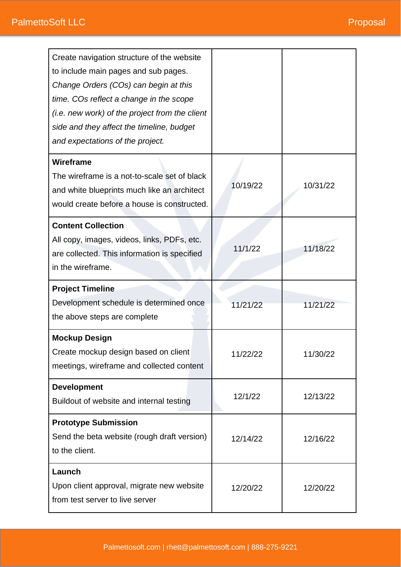| Create navigation structure of the website<br>to include main pages and sub pages.<br>Change Orders (COs) can begin at this<br>time. COs reflect a change in the scope<br>(i.e. new work) of the project from the client<br>side and they affect the timeline, budget<br>and expectations of the project. |          |          |
|-----------------------------------------------------------------------------------------------------------------------------------------------------------------------------------------------------------------------------------------------------------------------------------------------------------|----------|----------|
| Wireframe<br>The wireframe is a not-to-scale set of black<br>and white blueprints much like an architect<br>would create before a house is constructed.                                                                                                                                                   | 10/19/22 | 10/31/22 |
| <b>Content Collection</b><br>All copy, images, videos, links, PDFs, etc.<br>are collected. This information is specified<br>in the wireframe.                                                                                                                                                             | 11/1/22  | 11/18/22 |
| <b>Project Timeline</b><br>Development schedule is determined once<br>the above steps are complete                                                                                                                                                                                                        | 11/21/22 | 11/21/22 |
| <b>Mockup Design</b><br>Create mockup design based on client<br>meetings, wireframe and collected content                                                                                                                                                                                                 | 11/22/22 | 11/30/22 |
| <b>Development</b><br>Buildout of website and internal testing                                                                                                                                                                                                                                            | 12/1/22  | 12/13/22 |
| <b>Prototype Submission</b><br>Send the beta website (rough draft version)<br>to the client.                                                                                                                                                                                                              | 12/14/22 | 12/16/22 |
| Launch<br>Upon client approval, migrate new website<br>from test server to live server                                                                                                                                                                                                                    | 12/20/22 | 12/20/22 |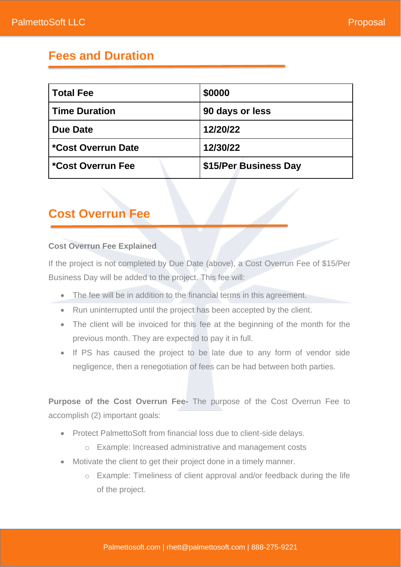### **Fees and Duration**

| <b>Total Fee</b>     | \$0000                |  |
|----------------------|-----------------------|--|
| <b>Time Duration</b> | 90 days or less       |  |
| <b>Due Date</b>      | 12/20/22              |  |
| *Cost Overrun Date   | 12/30/22              |  |
| *Cost Overrun Fee    | \$15/Per Business Day |  |

### **Cost Overrun Fee**

#### **Cost Overrun Fee Explained**

If the project is not completed by Due Date (above), a Cost Overrun Fee of \$15/Per Business Day will be added to the project. This fee will:

- The fee will be in addition to the financial terms in this agreement.
- Run uninterrupted until the project has been accepted by the client.
- The client will be invoiced for this fee at the beginning of the month for the previous month. They are expected to pay it in full.
- If PS has caused the project to be late due to any form of vendor side negligence, then a renegotiation of fees can be had between both parties.

**Purpose of the Cost Overrun Fee-** The purpose of the Cost Overrun Fee to accomplish (2) important goals:

- Protect PalmettoSoft from financial loss due to client-side delays.
	- o Example: Increased administrative and management costs
- Motivate the client to get their project done in a timely manner.
	- o Example: Timeliness of client approval and/or feedback during the life of the project.